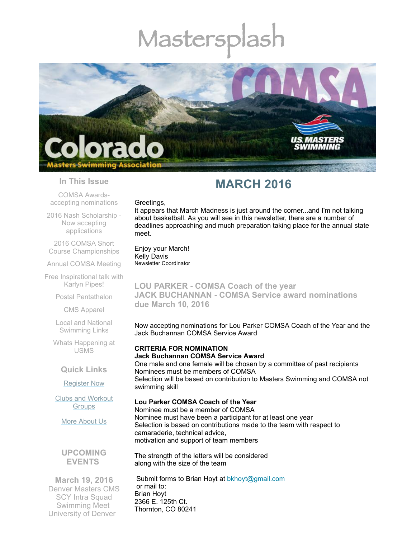# Mastersp



#### **In This Issue**

COMSA Awardsaccepting [nominations](#page-0-0)

2016 Nash Scholarship - Now accepting [applications](#page-1-0)

2016 COMSA Short Course [Championships](#page-1-1)

Annual [COMSA](#page-1-2) Meeting

Free [Inspirational](#page-1-3) talk with Karlyn Pipes!

Postal [Pentathalon](#page-2-0)

CMS [Apparel](#page-2-1)

Local and National [Swimming](#page-2-2) Links

Whats [Happening](#page-3-0) at USMS

**Quick Links**

[Register](http://comsa.org/joining/index.html) Now

Clubs and [Workout](http://comsa.org/clubs/index.html) **Groups** 

More [About](http://comsa.org/) Us

**UPCOMING EVENTS** 

along with the size of the team

The strength of the letters will be considered

**March 19, 2016** Denver Masters CMS SCY Intra Squad Swimming Meet University of Denver

Submit forms to Brian Hoyt at **[bkhoyt@gmail.com](mailto:bkhoyt@gmail.com)** or mail to: Brian Hoyt 2366 E. 125th Ct. Thornton, CO 80241

## **MARCH 2016**

#### Greetings,

It appears that March Madness is just around the corner...and I'm not talking about basketball. As you will see in this newsletter, there are a number of deadlines approaching and much preparation taking place for the annual state meet.

Enjoy your March! Kelly Davis Newsletter Coordinator

<span id="page-0-0"></span>**LOU PARKER - COMSA Coach of the year JACK BUCHANNAN - COMSA Service award nominations due March 10, 2016**

Now accepting nominations for Lou Parker COMSA Coach of the Year and the Jack Buchannan COMSA Service Award

### **CRITERIA FOR NOMINATION Jack Buchannan COMSA Service Award** One male and one female will be chosen by a committee of past recipients Nominees must be members of COMSA

Selection will be based on contribution to Masters Swimming and COMSA not swimming skill

#### **Lou Parker COMSA Coach of the Year**

Nominee must be a member of COMSA Nominee must have been a participant for at least one year Selection is based on contributions made to the team with respect to camaraderie, technical advice, motivation and support of team members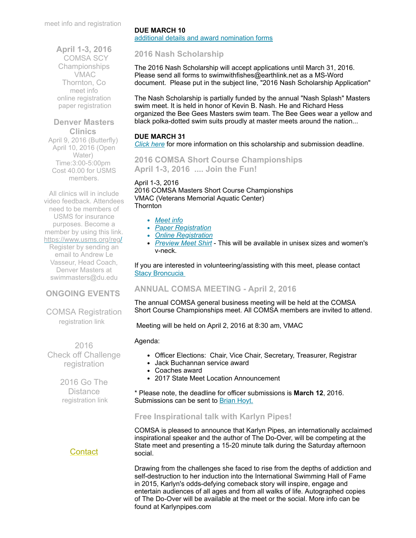meet info and [registration](https://www.clubassistant.com/club/meet_information.cfm?c=2307&smid=7313)

**April 1-3, 2016** COMSA SCY Championships VMAC Thornton, Co [meet](http://www.comsa.org/events/2016/2016%20COMSA%20Short%20Course%20Yards%20Swimming%20Championship.pdf) info online [registration](https://www.clubassistant.com/club/meet_information.cfm?c=1279&smid=7164) paper [registration](http://www.comsa.org/events/2016/2016%20COMSA%20CHAMPS%20REGISTRATION%20FORM.pdf)

#### **Denver Masters Clinics**

April 9, 2016 (Butterfly) April 10, 2016 (Open Water) Time:3:00-5:00pm Cost 40.00 for USMS members.

All clinics will in include video feedback. Attendees need to be members of USMS for insurance purposes. Become a member by using this link. <https://www.usms.org/reg/>

Register by sending an email to Andrew Le Vasseur, Head Coach, Denver Masters at [swimmasters@du.edu](mailto:swimmasters@du.edu)

## **ONGOING EVENTS**

COMSA Registration [registration](http://www.comsa.org/joining/index.html) link

 2016 Check off Challenge [registration](http://www.usms.org/fitness/content/checkoff)

> 2016 Go The **Distance** [registration](http://www.usms.org/fitness/content/gothedistance) link

## **[Contact](mailto:swimkdavis@gmail.com)**

## **DUE MARCH 10**

additional details and award [nomination](http://www.comsa.org/forms/2016Award%20Nomination%20Form.pdf) forms

## <span id="page-1-0"></span>**2016 Nash Scholarship**

The 2016 Nash Scholarship will accept applications until March 31, 2016. Please send all forms to swimwithfishes@earthlink.net as a MS-Word document. Please put in the subject line, "2016 Nash Scholarship Application"

The Nash Scholarship is partially funded by the annual "Nash Splash" Masters swim meet. It is held in honor of Kevin B. Nash. He and Richard Hess organized the Bee Gees Masters swim team. The Bee Gees wear a yellow and black polka-dotted swim suits proudly at master meets around the nation...

## **DUE MARCH 31**

*[Click](http://www.comsa.org/articles/2016%20Nash%20Scholarship%20Info.pdf) here* for more information on this scholarship and submission deadline.

<span id="page-1-1"></span>**2016 COMSA Short Course Championships April 1-3, 2016 .... Join the Fun!**

## April 1-3, 2016

2016 COMSA Masters Short Course Championships VMAC (Veterans Memorial Aquatic Center) Thornton

- *[Meet](http://www.comsa.org/events/2016/2016%20COMSA%20Short%20Course%20Yards%20Swimming%20Championship.pdf) info*
- *Paper [Registration](http://www.comsa.org/events/2016/2016%20COMSA%20CHAMPS%20REGISTRATION%20FORM.pdf)*
- *Online [Registration](https://www.clubassistant.com/club/meet_information.cfm?c=1279&smid=7164)*
- *[Preview](http://www.comsa.org/events/2016/COMSA_State_meet_shirt.jpg) Meet Shirt* This will be available in unisex sizes and women's v-neck.

If you are interested in volunteering/assisting with this meet, please contact **Stacy [Broncucia](mailto:sbroncucia@gmail.com)** 

## <span id="page-1-2"></span>**ANNUAL COMSA MEETING - April 2, 2016**

The annual COMSA general business meeting will be held at the COMSA Short Course Championships meet. All COMSA members are invited to attend.

Meeting will be held on April 2, 2016 at 8:30 am, VMAC

#### Agenda:

- Officer Elections: Chair, Vice Chair, Secretary, Treasurer, Registrar
- Jack Buchannan service award
- Coaches award
- 2017 State Meet Location Announcement

\* Please note, the deadline for officer submissions is **March 12**, 2016. Submissions can be sent to [Brian](mailto:bkhoyt@gmail.com) Hoyt.

## <span id="page-1-3"></span>**Free Inspirational talk with Karlyn Pipes!**

COMSA is pleased to announce that Karlyn Pipes, an internationally acclaimed inspirational speaker and the author of The Do-Over, will be competing at the State meet and presenting a 15-20 minute talk during the Saturday afternoon social.

Drawing from the challenges she faced to rise from the depths of addiction and self-destruction to her induction into the International Swimming Hall of Fame in 2015, Karlyn's odds-defying comeback story will inspire, engage and entertain audiences of all ages and from all walks of life. Autographed copies of The Do-Over will be available at the meet or the social. More info can be found at Karlynpipes.com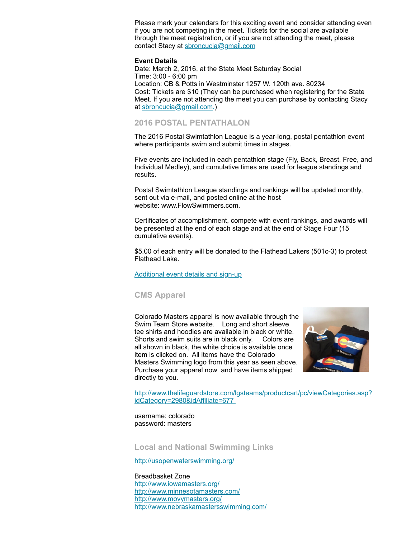Please mark your calendars for this exciting event and consider attending even if you are not competing in the meet. Tickets for the social are available through the meet registration, or if you are not attending the meet, please contact Stacy at [sbroncucia@gmail.com](mailto:sbroncucia@gmail.com)

#### **Event Details**

Date: March 2, 2016, at the State Meet Saturday Social Time: 3:00 - 6:00 pm Location: CB & Potts in Westminster 1257 W. 120th ave. 80234 Cost: Tickets are \$10 (They can be purchased when registering for the State Meet. If you are not attending the meet you can purchase by contacting Stacy at [sbroncucia@gmail.com](mailto:sbroncucia@gmail.com).)

#### <span id="page-2-0"></span>**2016 POSTAL PENTATHALON**

The 2016 Postal Swimtathlon League is a year-long, postal pentathlon event where participants swim and submit times in stages.

Five events are included in each pentathlon stage (Fly, Back, Breast, Free, and Individual Medley), and cumulative times are used for league standings and results.

Postal Swimtathlon League standings and rankings will be updated monthly, sent out via e-mail, and posted online at the host website: www.FlowSwimmers.com.

Certificates of accomplishment, compete with event rankings, and awards will be presented at the end of each stage and at the end of Stage Four (15 cumulative events).

\$5.00 of each entry will be donated to the Flathead Lakers (501c-3) to protect Flathead Lake.

[Additional](https://www.clubassistant.com/club/meet_information.cfm?c=2303&smid=7259) event details and sign-up

#### <span id="page-2-1"></span>**CMS Apparel**

Colorado Masters apparel is now available through the Swim Team Store website. Long and short sleeve tee shirts and hoodies are available in black or white. Shorts and swim suits are in black only. Colors are all shown in black, the white choice is available once item is clicked on. All items have the Colorado Masters Swimming logo from this year as seen above. Purchase your apparel now and have items shipped directly to you.



[http://www.thelifeguardstore.com/lgsteams/productcart/pc/viewCategories.asp?](http://www.thelifeguardstore.com/lgsteams/productcart/pc/viewCategories.asp?idCategory=2980&idAffiliate=677) idCategory=2980&idAffiliate=677

username: colorado password: masters

<span id="page-2-2"></span>**Local and National Swimming Links**

<http://usopenwaterswimming.org/>

Breadbasket Zone <http://www.iowamasters.org/> <http://www.minnesotamasters.com/> <http://www.movymasters.org/> <http://www.nebraskamastersswimming.com/>